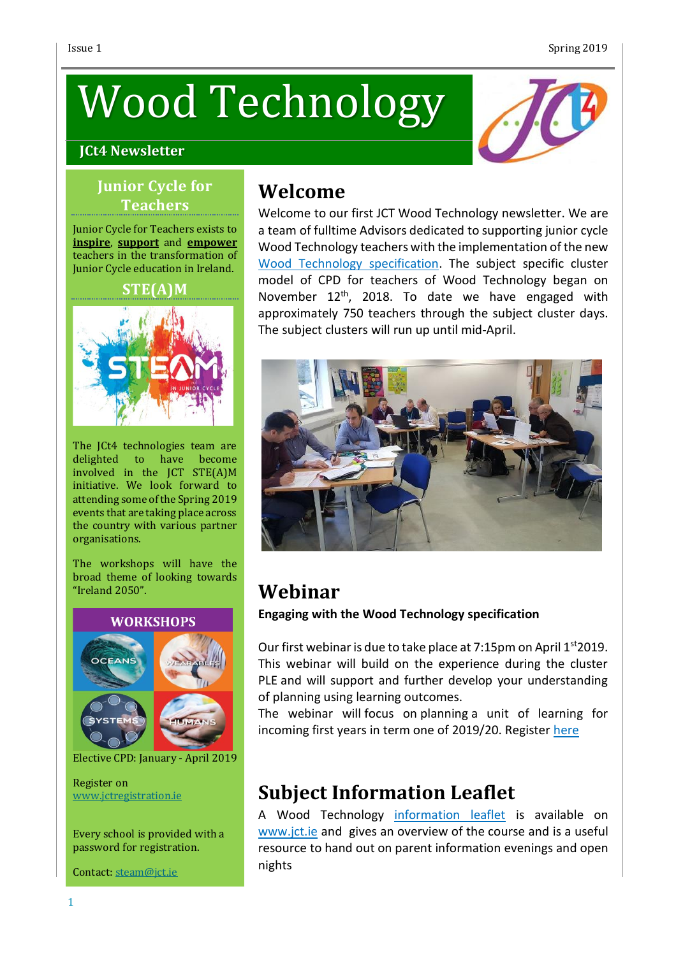# Wood Technology

#### **JCt4 Newsletter**



#### **Junior Cycle for Teachers**

Junior Cycle for Teachers exists to **inspire**, **support** and **empower** teachers in the transformation of Junior Cycle education in Ireland.

#### **STE(A)M**



The JCt4 technologies team are delighted to have become involved in the JCT STE(A)M initiative. We look forward to attending some of the Spring 2019 events that are taking place across the country with various partner organisations.

The workshops will have the broad theme of looking towards "Ireland 2050".



Elective CPD: January - April 2019

Register on [www.jctregistration.ie](http://www.jctregistration.ie/)

Every school is provided with a password for registration.

Contact: [steam@jct.ie](mailto:steam@jct.ie)

## **Welcome**

Welcome to our first JCT Wood Technology newsletter. We are a team of fulltime Advisors dedicated to supporting junior cycle Wood Technology teachers with the implementation of the new Wood Technology [specification.](https://www.curriculumonline.ie/Junior-cycle/Junior-Cycle-Subjects/Wood-Technology) The subject specific cluster model of CPD for teachers of Wood Technology began on November 12<sup>th</sup>, 2018. To date we have engaged with approximately 750 teachers through the subject cluster days. The subject clusters will run up until mid-April.



## **Webinar Engaging with the Wood Technology specification**

Our first webinar is due to take place at 7:15pm on April 1<sup>st</sup>2019. This webinar will build on the experience during the cluster PLE and will support and further develop your understanding of planning using learning outcomes.

The webinar will focus on planning a unit of learning for incoming first years in term one of 2019/20. Register [here](https://register.gotowebinar.com/register/8562140433605933068)

# **Subject Information Leaflet**

A Wood Technology [information](https://www.jct.ie/perch/resources/technologies/wood-technology-information-leaflet.pdf) leaflet is available on [www.jct.ie](http://www.jct.ie/) and gives an overview of the course and is a useful resource to hand out on parent information evenings and open nights